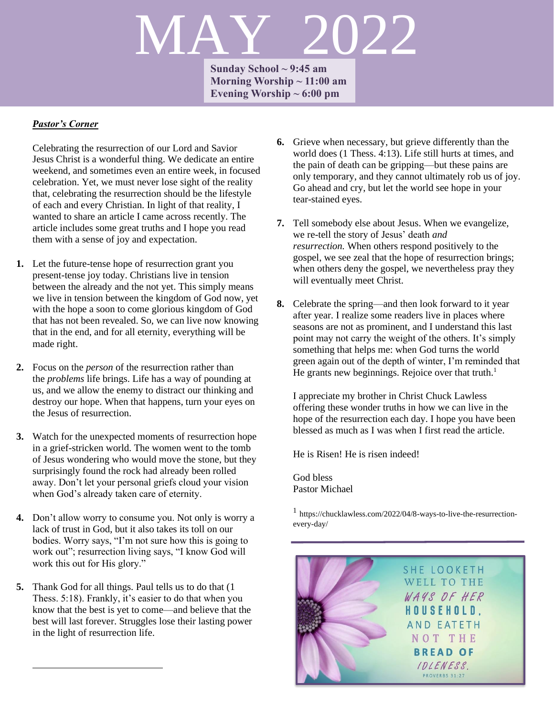# MAY 2022

**Sunday School ~ 9:45 am Morning Worship ~ 11:00 am Evening Worship ~ 6:00 pm**

# *Pastor's Corner*

Celebrating the resurrection of our Lord and Savior Jesus Christ is a wonderful thing. We dedicate an entire weekend, and sometimes even an entire week, in focused celebration. Yet, we must never lose sight of the reality that, celebrating the resurrection should be the lifestyle of each and every Christian. In light of that reality, I wanted to share an article I came across recently. The article includes some great truths and I hope you read them with a sense of joy and expectation.

- **1.** Let the future-tense hope of resurrection grant you present-tense joy today. Christians live in tension between the already and the not yet. This simply means we live in tension between the kingdom of God now, yet with the hope a soon to come glorious kingdom of God that has not been revealed. So, we can live now knowing that in the end, and for all eternity, everything will be made right.
- **2.** Focus on the *person* of the resurrection rather than the *problems* life brings. Life has a way of pounding at us, and we allow the enemy to distract our thinking and destroy our hope. When that happens, turn your eyes on the Jesus of resurrection.
- **3.** Watch for the unexpected moments of resurrection hope in a grief-stricken world. The women went to the tomb of Jesus wondering who would move the stone, but they surprisingly found the rock had already been rolled away. Don't let your personal griefs cloud your vision when God's already taken care of eternity.
- **4.** Don't allow worry to consume you. Not only is worry a lack of trust in God, but it also takes its toll on our bodies. Worry says, "I'm not sure how this is going to work out"; resurrection living says, "I know God will work this out for His glory."
- **5.** Thank God for all things. Paul tells us to do that (1 Thess. 5:18). Frankly, it's easier to do that when you know that the best is yet to come—and believe that the best will last forever. Struggles lose their lasting power in the light of resurrection life.
- **6.** Grieve when necessary, but grieve differently than the world does (1 Thess. 4:13). Life still hurts at times, and the pain of death can be gripping—but these pains are only temporary, and they cannot ultimately rob us of joy. Go ahead and cry, but let the world see hope in your tear-stained eyes.
- **7.** Tell somebody else about Jesus. When we evangelize, we re-tell the story of Jesus' death *and resurrection.* When others respond positively to the gospel, we see zeal that the hope of resurrection brings; when others deny the gospel, we nevertheless pray they will eventually meet Christ.
- **8.** Celebrate the spring—and then look forward to it year after year. I realize some readers live in places where seasons are not as prominent, and I understand this last point may not carry the weight of the others. It's simply something that helps me: when God turns the world green again out of the depth of winter, I'm reminded that He grants new beginnings. Rejoice over that truth.<sup>1</sup>

I appreciate my brother in Christ Chuck Lawless offering these wonder truths in how we can live in the hope of the resurrection each day. I hope you have been blessed as much as I was when I first read the article.

He is Risen! He is risen indeed!

God bless Pastor Michael

1 https://chucklawless.com/2022/04/8-ways-to-live-the-resurrectionevery-day/